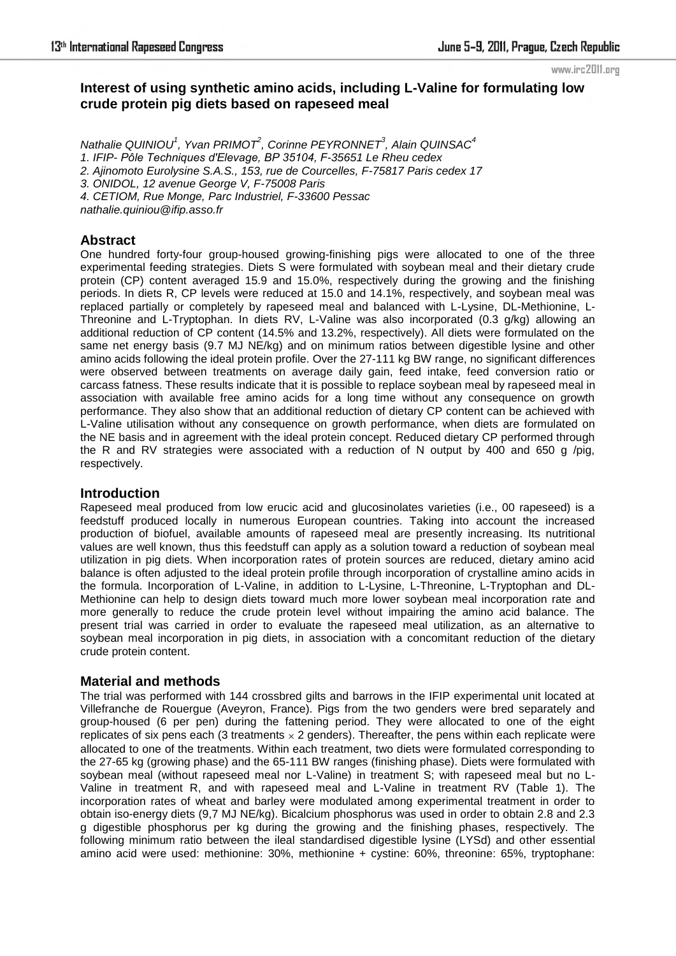# **Interest of using synthetic amino acids, including L-Valine for formulating low crude protein pig diets based on rapeseed meal**

*Nathalie QUINIOU<sup>1</sup> , Yvan PRIMOT<sup>2</sup> , Corinne PEYRONNET<sup>3</sup> , Alain QUINSAC<sup>4</sup> 1. IFIP- Pôle Techniques d'Elevage, BP 35104, F-35651 Le Rheu cedex 2. Ajinomoto Eurolysine S.A.S., 153, rue de Courcelles, F-75817 Paris cedex 17 3. ONIDOL, 12 avenue George V, F-75008 Paris 4. CETIOM, Rue Monge, Parc Industriel, F-33600 Pessac nathalie.quiniou@ifip.asso.fr* 

## **Abstract**

One hundred forty-four group-housed growing-finishing pigs were allocated to one of the three experimental feeding strategies. Diets S were formulated with soybean meal and their dietary crude protein (CP) content averaged 15.9 and 15.0%, respectively during the growing and the finishing periods. In diets R, CP levels were reduced at 15.0 and 14.1%, respectively, and soybean meal was replaced partially or completely by rapeseed meal and balanced with L-Lysine, DL-Methionine, L-Threonine and L-Tryptophan. In diets RV, L-Valine was also incorporated (0.3 g/kg) allowing an additional reduction of CP content (14.5% and 13.2%, respectively). All diets were formulated on the same net energy basis (9.7 MJ NE/kg) and on minimum ratios between digestible lysine and other amino acids following the ideal protein profile. Over the 27-111 kg BW range, no significant differences were observed between treatments on average daily gain, feed intake, feed conversion ratio or carcass fatness. These results indicate that it is possible to replace soybean meal by rapeseed meal in association with available free amino acids for a long time without any consequence on growth performance. They also show that an additional reduction of dietary CP content can be achieved with L-Valine utilisation without any consequence on growth performance, when diets are formulated on the NE basis and in agreement with the ideal protein concept. Reduced dietary CP performed through the R and RV strategies were associated with a reduction of N output by 400 and 650 g /pig, respectively.

### **Introduction**

Rapeseed meal produced from low erucic acid and glucosinolates varieties (i.e., 00 rapeseed) is a feedstuff produced locally in numerous European countries. Taking into account the increased production of biofuel, available amounts of rapeseed meal are presently increasing. Its nutritional values are well known, thus this feedstuff can apply as a solution toward a reduction of soybean meal utilization in pig diets. When incorporation rates of protein sources are reduced, dietary amino acid balance is often adjusted to the ideal protein profile through incorporation of crystalline amino acids in the formula. Incorporation of L-Valine, in addition to L-Lysine, L-Threonine, L-Tryptophan and DL-Methionine can help to design diets toward much more lower soybean meal incorporation rate and more generally to reduce the crude protein level without impairing the amino acid balance. The present trial was carried in order to evaluate the rapeseed meal utilization, as an alternative to soybean meal incorporation in pig diets, in association with a concomitant reduction of the dietary crude protein content.

## **Material and methods**

The trial was performed with 144 crossbred gilts and barrows in the IFIP experimental unit located at Villefranche de Rouergue (Aveyron, France). Pigs from the two genders were bred separately and group-housed (6 per pen) during the fattening period. They were allocated to one of the eight replicates of six pens each (3 treatments  $\times$  2 genders). Thereafter, the pens within each replicate were allocated to one of the treatments. Within each treatment, two diets were formulated corresponding to the 27-65 kg (growing phase) and the 65-111 BW ranges (finishing phase). Diets were formulated with soybean meal (without rapeseed meal nor L-Valine) in treatment S; with rapeseed meal but no L-Valine in treatment R, and with rapeseed meal and L-Valine in treatment RV (Table 1). The incorporation rates of wheat and barley were modulated among experimental treatment in order to obtain iso-energy diets (9,7 MJ NE/kg). Bicalcium phosphorus was used in order to obtain 2.8 and 2.3 g digestible phosphorus per kg during the growing and the finishing phases, respectively. The following minimum ratio between the ileal standardised digestible lysine (LYSd) and other essential amino acid were used: methionine: 30%, methionine + cystine: 60%, threonine: 65%, tryptophane: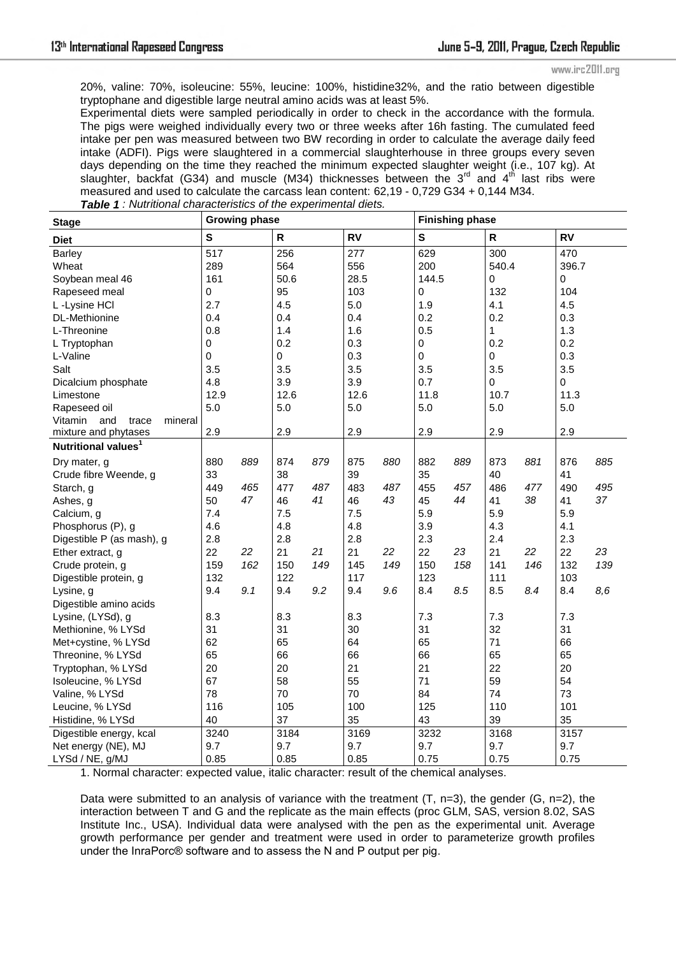20%, valine: 70%, isoleucine: 55%, leucine: 100%, histidine32%, and the ratio between digestible tryptophane and digestible large neutral amino acids was at least 5%.

Experimental diets were sampled periodically in order to check in the accordance with the formula. The pigs were weighed individually every two or three weeks after 16h fasting. The cumulated feed intake per pen was measured between two BW recording in order to calculate the average daily feed intake (ADFI). Pigs were slaughtered in a commercial slaughterhouse in three groups every seven days depending on the time they reached the minimum expected slaughter weight (i.e., 107 kg). At slaughter, backfat (G34) and muscle (M34) thicknesses between the 3 $^{\text{rd}}$  and 4<sup>th</sup> last ribs were measured and used to calculate the carcass lean content: 62,19 - 0,729 G34 + 0,144 M34.

| <b>Stage</b>                       | <b>Growing phase</b> |     |              |     |           |     | <b>Finishing phase</b> |     |           |     |           |     |
|------------------------------------|----------------------|-----|--------------|-----|-----------|-----|------------------------|-----|-----------|-----|-----------|-----|
| <b>Diet</b>                        | $\mathbf s$          |     | $\mathsf{R}$ |     | <b>RV</b> |     | ${\bf S}$              |     | ${\sf R}$ |     | <b>RV</b> |     |
| Barley                             | $\overline{517}$     |     | 256          |     | 277       |     | 629                    |     | 300       |     | 470       |     |
| Wheat                              | 289                  |     | 564          |     | 556       |     | 200                    |     | 540.4     |     | 396.7     |     |
| Soybean meal 46                    | 161                  |     | 50.6         |     | 28.5      |     | 144.5                  |     | 0         |     | 0         |     |
| Rapeseed meal                      | $\pmb{0}$            |     | 95           |     | 103       |     | 0                      |     | 132       |     | 104       |     |
| L -Lysine HCI                      | 2.7                  |     | 4.5          |     | 5.0       |     | 1.9                    |     | 4.1       |     | 4.5       |     |
| DL-Methionine                      | 0.4                  |     | 0.4          |     | 0.4       |     | 0.2                    |     | 0.2       |     | 0.3       |     |
| L-Threonine                        | 0.8                  |     | 1.4          |     | 1.6       |     | 0.5                    |     | 1         |     | 1.3       |     |
| L Tryptophan                       | $\mathsf 0$          |     | 0.2          |     | 0.3       |     | 0                      |     | 0.2       |     | 0.2       |     |
| L-Valine                           | $\mathbf 0$          |     | 0            |     | 0.3       |     | 0                      |     | 0         |     | 0.3       |     |
| Salt                               | 3.5                  |     | 3.5          |     | 3.5       |     | 3.5                    |     | 3.5       |     | 3.5       |     |
| Dicalcium phosphate                | 4.8                  |     | 3.9          |     | 3.9       |     | 0.7                    |     | 0         |     | 0         |     |
| Limestone                          | 12.9                 |     | 12.6         |     | 12.6      |     | 11.8                   |     | 10.7      |     | 11.3      |     |
| Rapeseed oil                       | 5.0                  |     | 5.0          |     | 5.0       |     | 5.0                    |     | 5.0       |     | $5.0\,$   |     |
| Vitamin<br>and<br>trace<br>mineral |                      |     |              |     |           |     |                        |     |           |     |           |     |
| mixture and phytases               | 2.9                  |     | 2.9          |     | 2.9       |     | 2.9                    |     | 2.9       |     | 2.9       |     |
| Nutritional values <sup>1</sup>    |                      |     |              |     |           |     |                        |     |           |     |           |     |
| Dry mater, g                       | 880                  | 889 | 874          | 879 | 875       | 880 | 882                    | 889 | 873       | 881 | 876       | 885 |
| Crude fibre Weende, g              | 33                   |     | 38           |     | 39        |     | 35                     |     | 40        |     | 41        |     |
| Starch, g                          | 449                  | 465 | 477          | 487 | 483       | 487 | 455                    | 457 | 486       | 477 | 490       | 495 |
| Ashes, g                           | 50                   | 47  | 46           | 41  | 46        | 43  | 45                     | 44  | 41        | 38  | 41        | 37  |
| Calcium, g                         | 7.4                  |     | 7.5          |     | 7.5       |     | 5.9                    |     | 5.9       |     | 5.9       |     |
| Phosphorus (P), g                  | 4.6                  |     | 4.8          |     | 4.8       |     | 3.9                    |     | 4.3       |     | 4.1       |     |
| Digestible P (as mash), g          | 2.8                  |     | 2.8          |     | 2.8       |     | 2.3                    |     | 2.4       |     | 2.3       |     |
| Ether extract, g                   | 22                   | 22  | 21           | 21  | 21        | 22  | 22                     | 23  | 21        | 22  | 22        | 23  |
| Crude protein, g                   | 159                  | 162 | 150          | 149 | 145       | 149 | 150                    | 158 | 141       | 146 | 132       | 139 |
| Digestible protein, g              | 132                  |     | 122          |     | 117       |     | 123                    |     | 111       |     | 103       |     |
| Lysine, g                          | 9.4                  | 9.1 | 9.4          | 9.2 | 9.4       | 9.6 | 8.4                    | 8.5 | 8.5       | 8.4 | 8.4       | 8,6 |
| Digestible amino acids             |                      |     |              |     |           |     |                        |     |           |     |           |     |
| Lysine, (LYSd), g                  | 8.3                  |     | 8.3          |     | 8.3       |     | 7.3                    |     | 7.3       |     | 7.3       |     |
| Methionine, % LYSd                 | 31                   |     | 31           |     | 30        |     | 31                     |     | 32        |     | 31        |     |
| Met+cystine, % LYSd                | 62                   |     | 65           |     | 64        |     | 65                     |     | 71        |     | 66        |     |
| Threonine, % LYSd                  | 65                   |     | 66           |     | 66        |     | 66                     |     | 65        |     | 65        |     |
| Tryptophan, % LYSd                 | 20                   |     | 20           |     | 21        |     | 21                     |     | 22        |     | 20        |     |
| Isoleucine, % LYSd                 | 67                   |     | 58           |     | 55        |     | 71                     |     | 59        |     | 54        |     |
| Valine, % LYSd                     | 78                   |     | 70           |     | 70        |     | 84                     |     | 74        |     | 73        |     |
| Leucine, % LYSd                    | 116                  |     | 105          |     | 100       |     | 125                    |     | 110       |     | 101       |     |
| Histidine, % LYSd                  | 40                   |     | 37           |     | 35        |     | 43                     |     | 39        |     | 35        |     |
| Digestible energy, kcal            | 3240                 |     | 3184         |     | 3169      |     | 3232                   |     | 3168      |     | 3157      |     |
| Net energy (NE), MJ                | 9.7                  |     | 9.7          |     | 9.7       |     | 9.7                    |     | 9.7       |     | 9.7       |     |
| LYSd / NE, g/MJ                    | 0.85                 |     | 0.85         |     | 0.85      |     | 0.75                   |     | 0.75      |     | 0.75      |     |

*Table 1 : Nutritional characteristics of the experimental diets.* 

1. Normal character: expected value, italic character: result of the chemical analyses.

Data were submitted to an analysis of variance with the treatment  $(T, n=3)$ , the gender  $(G, n=2)$ , the interaction between T and G and the replicate as the main effects (proc GLM, SAS, version 8.02, SAS Institute Inc., USA). Individual data were analysed with the pen as the experimental unit. Average growth performance per gender and treatment were used in order to parameterize growth profiles under the InraPorc® software and to assess the N and P output per pig.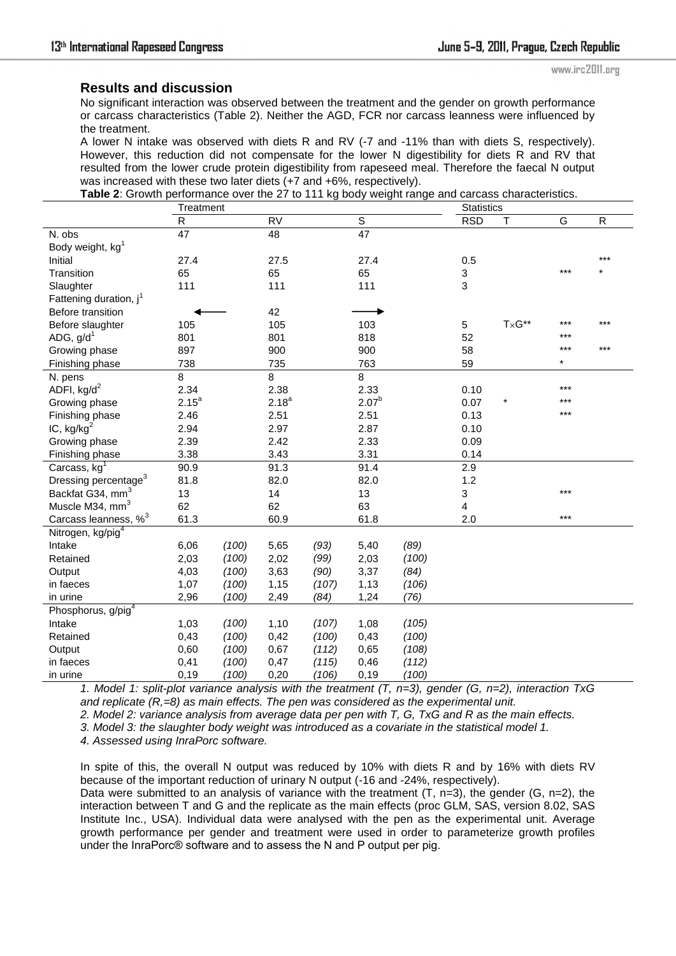### **Results and discussion**

No significant interaction was observed between the treatment and the gender on growth performance or carcass characteristics (Table 2). Neither the AGD, FCR nor carcass leanness were influenced by the treatment.

A lower N intake was observed with diets R and RV (-7 and -11% than with diets S, respectively). However, this reduction did not compensate for the lower N digestibility for diets R and RV that resulted from the lower crude protein digestibility from rapeseed meal. Therefore the faecal N output was increased with these two later diets (+7 and +6%, respectively).

| Table 2: Growth performance over the 27 to 111 kg body weight range and carcass characteristics. |                 |       |                 |       |                |       |                |                         |         |           |  |
|--------------------------------------------------------------------------------------------------|-----------------|-------|-----------------|-------|----------------|-------|----------------|-------------------------|---------|-----------|--|
|                                                                                                  | Treatment       |       |                 |       |                |       |                | <b>Statistics</b>       |         |           |  |
|                                                                                                  | $\overline{R}$  |       | $\overline{RV}$ |       | $\overline{s}$ |       | <b>RSD</b>     | $\overline{\mathsf{T}}$ | G       | ${\sf R}$ |  |
| N. obs                                                                                           | $\overline{47}$ |       | 48              |       | 47             |       |                |                         |         |           |  |
| Body weight, kg <sup>1</sup>                                                                     |                 |       |                 |       |                |       |                |                         |         |           |  |
| Initial                                                                                          | 27.4            |       | 27.5            |       | 27.4           |       | 0.5            |                         |         | $***$     |  |
| Transition                                                                                       | 65              |       | 65              |       | 65             |       | 3              |                         | $***$   |           |  |
| Slaughter                                                                                        | 111             |       | 111             |       | 111            |       | 3              |                         |         |           |  |
| Fattening duration, j <sup>1</sup>                                                               |                 |       |                 |       |                |       |                |                         |         |           |  |
| Before transition                                                                                |                 |       | 42              |       |                |       |                |                         |         |           |  |
| Before slaughter                                                                                 | 105             |       | 105             |       | 103            |       | 5              | $T\times G^{**}$        | ***     | ***       |  |
| ADG, $g/d^1$                                                                                     | 801             |       | 801             |       | 818            |       | 52             |                         | ***     |           |  |
| Growing phase                                                                                    | 897             |       | 900             |       | 900            |       | 58             |                         | ***     | ***       |  |
| Finishing phase                                                                                  | 738             |       | 735             |       | 763            |       | 59             |                         | $\star$ |           |  |
| N. pens                                                                                          | 8               |       | 8               |       | 8              |       |                |                         |         |           |  |
| ADFI, $kg/d^2$                                                                                   | 2.34            |       | 2.38            |       | 2.33           |       | 0.10           |                         | ***     |           |  |
| Growing phase                                                                                    | $2.15^{a}$      |       | $2.18^{a}$      |       | $2.07^{b}$     |       | 0.07           |                         | ***     |           |  |
| Finishing phase                                                                                  | 2.46            |       | 2.51            |       | 2.51           |       | 0.13           |                         | ***     |           |  |
| IC, $kg/kg2$                                                                                     | 2.94            |       | 2.97            |       | 2.87           |       | 0.10           |                         |         |           |  |
| Growing phase                                                                                    | 2.39            |       | 2.42            |       | 2.33           |       | 0.09           |                         |         |           |  |
| Finishing phase                                                                                  | 3.38            |       | 3.43            |       | 3.31           |       | 0.14           |                         |         |           |  |
| Carcass, kg <sup>1</sup>                                                                         | 90.9            |       | 91.3            |       | 91.4           |       | 2.9            |                         |         |           |  |
| Dressing percentage <sup>3</sup>                                                                 | 81.8            |       | 82.0            |       | 82.0           |       | 1.2            |                         |         |           |  |
| Backfat G34, mm <sup>3</sup>                                                                     | 13              |       | 14              |       | 13             |       | $\sqrt{3}$     |                         | ***     |           |  |
| Muscle M34, mm <sup>3</sup>                                                                      | 62              |       | 62              |       | 63             |       | $\overline{4}$ |                         |         |           |  |
| Carcass leanness, % <sup>3</sup>                                                                 | 61.3            |       | 60.9            |       | 61.8           |       | 2.0            |                         | $***$   |           |  |
| Nitrogen, kg/pig <sup>4</sup>                                                                    |                 |       |                 |       |                |       |                |                         |         |           |  |
| Intake                                                                                           | 6,06            | (100) | 5,65            | (93)  | 5,40           | (89)  |                |                         |         |           |  |
| Retained                                                                                         | 2,03            | (100) | 2,02            | (99)  | 2,03           | (100) |                |                         |         |           |  |
| Output                                                                                           | 4,03            | (100) | 3,63            | (90)  | 3,37           | (84)  |                |                         |         |           |  |
| in faeces                                                                                        | 1,07            | (100) | 1,15            | (107) | 1,13           | (106) |                |                         |         |           |  |
| in urine                                                                                         | 2,96            | (100) | 2,49            | (84)  | 1,24           | (76)  |                |                         |         |           |  |
| Phosphorus, g/pig <sup>4</sup>                                                                   |                 |       |                 |       |                |       |                |                         |         |           |  |
| Intake                                                                                           | 1,03            | (100) | 1,10            | (107) | 1,08           | (105) |                |                         |         |           |  |
| Retained                                                                                         | 0,43            | (100) | 0,42            | (100) | 0,43           | (100) |                |                         |         |           |  |
| Output                                                                                           | 0,60            | (100) | 0,67            | (112) | 0,65           | (108) |                |                         |         |           |  |
| in faeces                                                                                        | 0,41            | (100) | 0,47            | (115) | 0,46           | (112) |                |                         |         |           |  |
| in urine                                                                                         | 0,19            | (100) | 0,20            | (106) | 0, 19          | (100) |                |                         |         |           |  |

*1. Model 1: split-plot variance analysis with the treatment (T, n=3), gender (G, n=2), interaction TxG and replicate (R,=8) as main effects. The pen was considered as the experimental unit.* 

*2. Model 2: variance analysis from average data per pen with T, G, TxG and R as the main effects.* 

*3. Model 3: the slaughter body weight was introduced as a covariate in the statistical model 1.* 

*4. Assessed using InraPorc software.* 

In spite of this, the overall N output was reduced by 10% with diets R and by 16% with diets RV because of the important reduction of urinary N output (-16 and -24%, respectively).

Data were submitted to an analysis of variance with the treatment  $(T, n=3)$ , the gender  $(G, n=2)$ , the interaction between T and G and the replicate as the main effects (proc GLM, SAS, version 8.02, SAS Institute Inc., USA). Individual data were analysed with the pen as the experimental unit. Average growth performance per gender and treatment were used in order to parameterize growth profiles under the InraPorc® software and to assess the N and P output per pig.